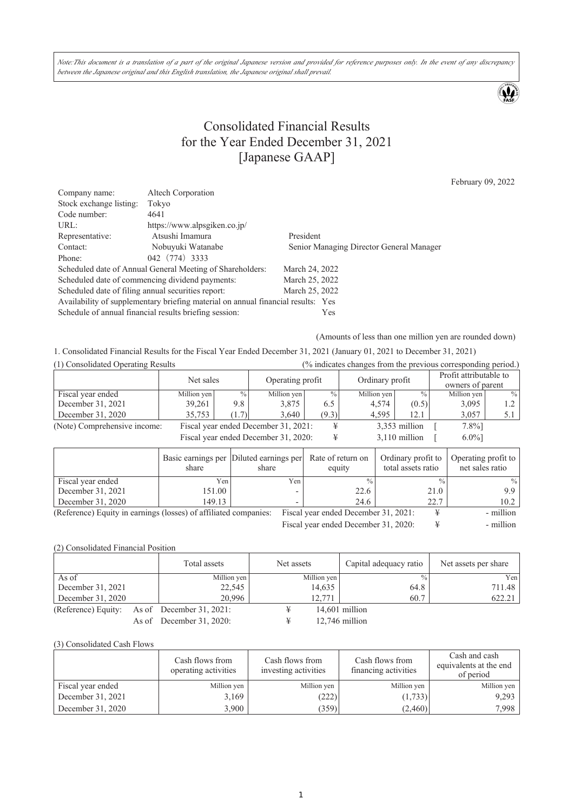Note:This document is a translation of a part of the original Japanese version and provided for reference purposes only. In the event of any discrepancy *between the Japanese original and this English translation, the Japanese original shall prevail.*

 $\mathbf{\mathbf{\Psi}}$ 

## Consolidated Financial Results for the Year Ended December 31, 2021 [Japanese GAAP]

February 09, 2022

| Company name:                                      | Altech Corporation                                                               |                                          |
|----------------------------------------------------|----------------------------------------------------------------------------------|------------------------------------------|
| Stock exchange listing:                            | Tokyo                                                                            |                                          |
| Code number:                                       | 4641                                                                             |                                          |
| URL:                                               | https://www.alpsgiken.co.jp/                                                     |                                          |
| Representative:                                    | Atsushi Imamura                                                                  | President                                |
| Contact:                                           | Nobuyuki Watanabe                                                                | Senior Managing Director General Manager |
| Phone:                                             | 042 (774) 3333                                                                   |                                          |
|                                                    | Scheduled date of Annual General Meeting of Shareholders:                        | March 24, 2022                           |
|                                                    | Scheduled date of commencing dividend payments:                                  | March 25, 2022                           |
| Scheduled date of filing annual securities report: |                                                                                  | March 25, 2022                           |
|                                                    | Availability of supplementary briefing material on annual financial results: Yes |                                          |
|                                                    | Schedule of annual financial results briefing session:                           | Yes                                      |

(Amounts of less than one million yen are rounded down)

1. Consolidated Financial Results for the Fiscal Year Ended December 31, 2021 (January 01, 2021 to December 31, 2021)

| (1) Consolidated Operating Results   |             | (% indicates changes from the previous corresponding period.) |                                      |               |                 |               |                                            |                  |
|--------------------------------------|-------------|---------------------------------------------------------------|--------------------------------------|---------------|-----------------|---------------|--------------------------------------------|------------------|
|                                      | Net sales   |                                                               | Operating profit                     |               | Ordinary profit |               | Profit attributable to<br>owners of parent |                  |
| Fiscal year ended                    | Million yen | $\%$                                                          | Million yen                          | $\frac{0}{0}$ | Million yen     | $\frac{0}{0}$ | Million yen                                | $\frac{0}{0}$    |
| December 31, 2021                    | 39,261      | 9.8                                                           | 3,875                                | 6.5           | 4,574           | (0.5)         | 3,095                                      | 1.2 <sub>1</sub> |
| December 31, 2020                    | 35,753      | (1.7)                                                         | 3.640                                | (9.3)         | 4,595           | 12.1          | 3,057                                      | 5.1              |
| (Note) Comprehensive income:         |             |                                                               | Fiscal year ended December 31, 2021: |               |                 | 3,353 million | $7.8\%$ ]                                  |                  |
| Fiscal year ended December 31, 2020: |             |                                                               |                                      |               | $3,110$ million | $6.0\%$ ]     |                                            |                  |

|                                                                  | share  | Basic earnings per Diluted earnings per Rate of return on<br>share | equity                               | Ordinary profit to<br>total assets ratio | Operating profit to<br>net sales ratio |
|------------------------------------------------------------------|--------|--------------------------------------------------------------------|--------------------------------------|------------------------------------------|----------------------------------------|
| Fiscal year ended                                                | Yen.   | Yeni                                                               |                                      | $\frac{0}{0}$                            | $\frac{0}{0}$                          |
| December 31, 2021                                                | 151.00 |                                                                    | 22.6                                 | 21.0                                     | 9.9                                    |
| December 31, 2020                                                | 149.13 |                                                                    | 24.6                                 | 22.7                                     | 10.2                                   |
| (Reference) Equity in earnings (losses) of affiliated companies: |        |                                                                    | Fiscal year ended December 31, 2021: |                                          | - million                              |

Fiscal year ended December 31, 2020:  $\qquad \qquad \text{#}$  - million

(2) Consolidated Financial Position

|                     |       | Total assets                | Net assets |             | Capital adequacy ratio | Net assets per share |
|---------------------|-------|-----------------------------|------------|-------------|------------------------|----------------------|
| As of               |       | Million yen                 |            | Million yen | $\frac{0}{0}$          | Yen                  |
| December 31, 2021   |       | 22,545                      |            | 14,635      | 64.8                   | 711.48               |
| December 31, 2020   |       | 20.996                      |            | 12.771      | 60.7                   | 622.21               |
| (Reference) Equity: |       | As of December $31, 2021$ : |            |             | $14,601$ million       |                      |
|                     | As of | December 31, 2020:          | ¥          |             | $12,746$ million       |                      |

#### (3) Consolidated Cash Flows

|                   | Cash flows from<br>operating activities | Cash flows from<br>investing activities | Cash flows from<br>financing activities | Cash and cash<br>equivalents at the end<br>of period |
|-------------------|-----------------------------------------|-----------------------------------------|-----------------------------------------|------------------------------------------------------|
| Fiscal year ended | Million yen                             | Million yen                             | Million yen                             | Million yen                                          |
| December 31, 2021 | 3,169                                   | (222)                                   | (1,733)                                 | 9.293                                                |
| December 31, 2020 | 3,900                                   | (359)                                   | (2,460)                                 | 7.998                                                |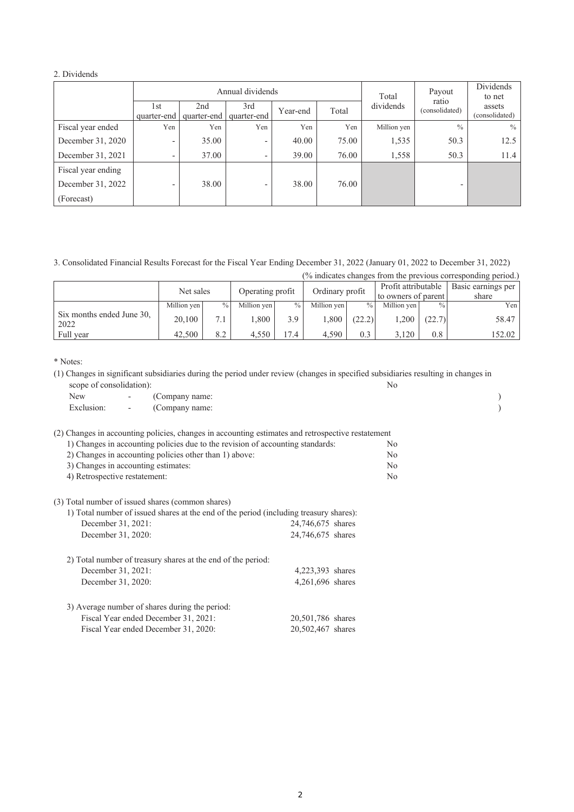### 2. Dividends

|                    |                          | Total              | Payout                   | Dividends<br>to net |       |             |                          |                          |
|--------------------|--------------------------|--------------------|--------------------------|---------------------|-------|-------------|--------------------------|--------------------------|
|                    | 1st<br>quarter-end       | 2nd<br>quarter-end | 3rd<br>quarter-end       | Year-end            | Total | dividends   | ratio<br>(consolidated)  | assets<br>(consolidated) |
| Fiscal year ended  | Yen                      | Yen                | Yen                      | Yen                 | Yen   | Million yen | $\frac{0}{0}$            | $\%$                     |
| December 31, 2020  | -                        | 35.00              | $\overline{\phantom{a}}$ | 40.00               | 75.00 | 1,535       | 50.3                     | 12.5                     |
| December 31, 2021  | $\overline{\phantom{a}}$ | 37.00              | -                        | 39.00               | 76.00 | 1,558       | 50.3                     | 11.4                     |
| Fiscal year ending |                          |                    |                          |                     |       |             |                          |                          |
| December 31, 2022  | -                        | 38.00              | ۰                        | 38.00               | 76.00 |             | $\overline{\phantom{0}}$ |                          |
| (Forecast)         |                          |                    |                          |                     |       |             |                          |                          |

3. Consolidated Financial Results Forecast for the Fiscal Year Ending December 31, 2022 (January 01, 2022 to December 31, 2022)

(% indicates changes from the previous corresponding period.)

|                                   | Net sales   |               | Operating profit |               | Ordinary profit |               | Profit attributable<br>to owners of parent |               | $\sim$ 1<br>Basic earnings per<br>share |
|-----------------------------------|-------------|---------------|------------------|---------------|-----------------|---------------|--------------------------------------------|---------------|-----------------------------------------|
|                                   | Million yen | $\frac{0}{0}$ | Million yen      | $\frac{0}{0}$ | Million yen     | $\frac{0}{0}$ | Million yen                                | $\frac{0}{0}$ | Yen                                     |
| Six months ended June 30,<br>2022 | 20,100      | 7.1           | $008$ .          | 3.9           | . .800          | (22.2)        | .200                                       | (22.7)        | 58.47                                   |
| Full year                         | 42,500      | 8.2           | 4.550            | 17.4          | 4.590           | 0.3           | 3.120                                      | 0.8           | 152.02                                  |

\* Notes:

(1) Changes in significant subsidiaries during the period under review (changes in specified subsidiaries resulting in changes in scope of consolidation):

| New                                                                            |                          | (Company name:                                                                         |                                                                                                   |    |  |
|--------------------------------------------------------------------------------|--------------------------|----------------------------------------------------------------------------------------|---------------------------------------------------------------------------------------------------|----|--|
| Exclusion:                                                                     | $\overline{\phantom{a}}$ | (Company name:                                                                         |                                                                                                   |    |  |
|                                                                                |                          |                                                                                        | (2) Changes in accounting policies, changes in accounting estimates and retrospective restatement |    |  |
| 1) Changes in accounting policies due to the revision of accounting standards: | No                       |                                                                                        |                                                                                                   |    |  |
| 2) Changes in accounting policies other than 1) above:                         | N <sub>0</sub>           |                                                                                        |                                                                                                   |    |  |
| 3) Changes in accounting estimates:                                            |                          | N <sub>0</sub>                                                                         |                                                                                                   |    |  |
| 4) Retrospective restatement:                                                  |                          |                                                                                        |                                                                                                   | No |  |
|                                                                                |                          | (3) Total number of issued shares (common shares)                                      |                                                                                                   |    |  |
|                                                                                |                          | 1) Total number of issued shares at the end of the period (including treasury shares): |                                                                                                   |    |  |
| December 31, 2021:                                                             |                          |                                                                                        | 24,746,675 shares                                                                                 |    |  |
| December 31, 2020:                                                             |                          |                                                                                        | 24,746,675 shares                                                                                 |    |  |
|                                                                                |                          | 2) Total number of treasury shares at the end of the period:                           |                                                                                                   |    |  |
| December 31, 2021:                                                             |                          |                                                                                        | 4,223,393 shares                                                                                  |    |  |
| December 31, 2020:                                                             |                          |                                                                                        | 4,261,696 shares                                                                                  |    |  |
|                                                                                |                          | 3) Average number of shares during the period:                                         |                                                                                                   |    |  |
|                                                                                |                          | Fiscal Year ended December 31, 2021:                                                   | 20,501,786 shares                                                                                 |    |  |
|                                                                                |                          | Fiscal Year ended December 31, 2020:                                                   | 20,502,467 shares                                                                                 |    |  |
|                                                                                |                          |                                                                                        |                                                                                                   |    |  |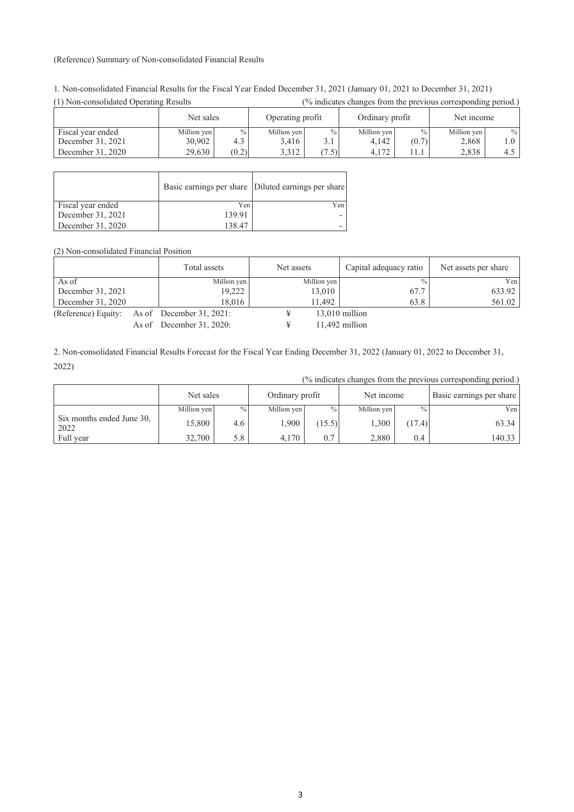#### (Reference) Summary of Non-consolidated Financial Results

| (1) Non-consolidated Operating Results | (% indicates changes from the previous corresponding period.) |       |                  |               |                 |               |             |               |
|----------------------------------------|---------------------------------------------------------------|-------|------------------|---------------|-----------------|---------------|-------------|---------------|
|                                        | Net sales                                                     |       | Operating profit |               | Ordinary profit |               | Net income  |               |
| Fiscal year ended                      | Million yen                                                   | $\%$  | Million yen      | $\frac{0}{0}$ | Million yen     | $\frac{0}{0}$ | Million yen | $\frac{0}{0}$ |
| December 31, 2021                      | 30,902                                                        | 4.3   | 3,416            | 3.1           | 4,142           | (0.7)         | 2,868       | 1.O           |
| December 31, 2020                      | 29.630                                                        | (0.2) | 3.312            | (7.5)         | 4.172           | 11.1          | 2.838       | 4.5           |

1. Non-consolidated Financial Results for the Fiscal Year Ended December 31, 2021 (January 01, 2021 to December 31, 2021)

|                   |        | Basic earnings per share Diluted earnings per share |
|-------------------|--------|-----------------------------------------------------|
| Fiscal year ended | Yen    | Yen                                                 |
| December 31, 2021 | 139.91 |                                                     |
| December 31, 2020 | 138.47 |                                                     |

(2) Non-consolidated Financial Position

|                                              | Total assets                | Net assets |             | Capital adequacy ratio | Net assets per share |
|----------------------------------------------|-----------------------------|------------|-------------|------------------------|----------------------|
| As of                                        | Million yen                 |            | Million yen | $\frac{0}{0}$ .        | Yen                  |
| December 31, 2021                            | 19,222                      |            | 13,010      | 67.7                   | 633.92               |
| December 31, 2020                            | 18.016                      |            | 11.492      | 63.8                   | 561.02               |
| (Reference) Equity: As of December 31, 2021: |                             |            |             | $13,010$ million       |                      |
|                                              | As of December $31, 2020$ : |            |             | 11,492 million         |                      |

2. Non-consolidated Financial Results Forecast for the Fiscal Year Ending December 31, 2022 (January 01, 2022 to December 31, 2022)

|                                   |             |               |                 |               |             |               | $\sim$ 1                 |  |
|-----------------------------------|-------------|---------------|-----------------|---------------|-------------|---------------|--------------------------|--|
|                                   | Net sales   |               | Ordinary profit |               | Net income  |               | Basic earnings per share |  |
|                                   | Million yen | $\frac{0}{0}$ | Million yen     | $\frac{0}{0}$ | Million yen | $\frac{0}{0}$ | Yen                      |  |
| Six months ended June 30,<br>2022 | 15,800      | 4.6           | .900            | (15.5)        | 1,300       | (17.4)        | 63.34                    |  |
| Full year                         | 32,700      | 5.8           | 4,170           | 0.7           | 2,880       | 0.4           | 140.33                   |  |

(% indicates changes from the previous corresponding period.)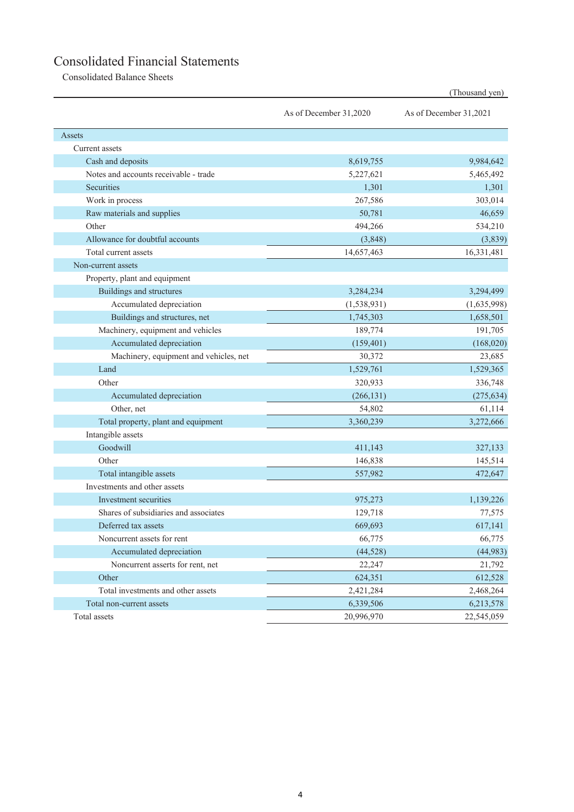# Consolidated Financial Statements

Consolidated Balance Sheets

|                                        | As of December 31,2020 | As of December 31,2021 |
|----------------------------------------|------------------------|------------------------|
| Assets                                 |                        |                        |
| Current assets                         |                        |                        |
| Cash and deposits                      | 8,619,755              | 9,984,642              |
| Notes and accounts receivable - trade  | 5,227,621              | 5,465,492              |
| Securities                             | 1,301                  | 1,301                  |
| Work in process                        | 267,586                | 303,014                |
| Raw materials and supplies             | 50,781                 | 46,659                 |
| Other                                  | 494,266                | 534,210                |
| Allowance for doubtful accounts        | (3,848)                | (3,839)                |
| Total current assets                   | 14,657,463             | 16,331,481             |
| Non-current assets                     |                        |                        |
| Property, plant and equipment          |                        |                        |
| Buildings and structures               | 3,284,234              | 3,294,499              |
| Accumulated depreciation               | (1, 538, 931)          | (1,635,998)            |
| Buildings and structures, net          | 1,745,303              | 1,658,501              |
| Machinery, equipment and vehicles      | 189,774                | 191,705                |
| Accumulated depreciation               | (159, 401)             | (168,020)              |
| Machinery, equipment and vehicles, net | 30,372                 | 23,685                 |
| Land                                   | 1,529,761              | 1,529,365              |
| Other                                  | 320,933                | 336,748                |
| Accumulated depreciation               | (266, 131)             | (275, 634)             |
| Other, net                             | 54,802                 | 61,114                 |
| Total property, plant and equipment    | 3,360,239              | 3,272,666              |
| Intangible assets                      |                        |                        |
| Goodwill                               | 411,143                | 327,133                |
| Other                                  | 146,838                | 145,514                |
| Total intangible assets                | 557,982                | 472,647                |
| Investments and other assets           |                        |                        |
| Investment securities                  | 975,273                | 1,139,226              |
| Shares of subsidiaries and associates  | 129,718                | 77,575                 |
| Deferred tax assets                    | 669,693                | 617,141                |
| Noncurrent assets for rent             | 66,775                 | 66,775                 |
| Accumulated depreciation               | (44, 528)              | (44,983)               |
| Noncurrent asserts for rent, net       | 22,247                 | 21,792                 |
| Other                                  | 624,351                | 612,528                |
| Total investments and other assets     | 2,421,284              | 2,468,264              |
| Total non-current assets               | 6,339,506              | 6,213,578              |
| Total assets                           | 20,996,970             | 22,545,059             |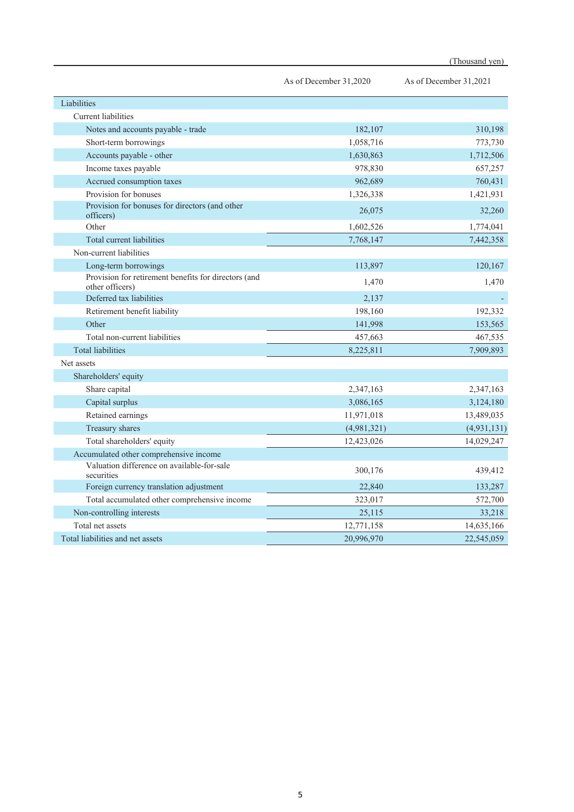|                                                                         | As of December 31,2020 | As of December 31,2021 |
|-------------------------------------------------------------------------|------------------------|------------------------|
| Liabilities                                                             |                        |                        |
| <b>Current</b> liabilities                                              |                        |                        |
| Notes and accounts payable - trade                                      | 182,107                | 310,198                |
| Short-term borrowings                                                   | 1,058,716              | 773,730                |
| Accounts payable - other                                                | 1,630,863              | 1,712,506              |
| Income taxes payable                                                    | 978,830                | 657,257                |
| Accrued consumption taxes                                               | 962,689                | 760,431                |
| Provision for bonuses                                                   | 1,326,338              | 1,421,931              |
| Provision for bonuses for directors (and other<br>officers)             | 26,075                 | 32,260                 |
| Other                                                                   | 1,602,526              | 1,774,041              |
| Total current liabilities                                               | 7,768,147              | 7,442,358              |
| Non-current liabilities                                                 |                        |                        |
| Long-term borrowings                                                    | 113,897                | 120,167                |
| Provision for retirement benefits for directors (and<br>other officers) | 1,470                  | 1,470                  |
| Deferred tax liabilities                                                | 2.137                  |                        |
| Retirement benefit liability                                            | 198,160                | 192,332                |
| Other                                                                   | 141,998                | 153,565                |
| Total non-current liabilities                                           | 457,663                | 467,535                |
| <b>Total liabilities</b>                                                | 8,225,811              | 7,909,893              |
| Net assets                                                              |                        |                        |
| Shareholders' equity                                                    |                        |                        |
| Share capital                                                           | 2,347,163              | 2,347,163              |
| Capital surplus                                                         | 3,086,165              | 3,124,180              |
| Retained earnings                                                       | 11,971,018             | 13,489,035             |
| Treasury shares                                                         | (4,981,321)            | (4,931,131)            |
| Total shareholders' equity                                              | 12,423,026             | 14,029,247             |
| Accumulated other comprehensive income                                  |                        |                        |
| Valuation difference on available-for-sale<br>securities                | 300,176                | 439,412                |
| Foreign currency translation adjustment                                 | 22,840                 | 133,287                |
| Total accumulated other comprehensive income                            | 323,017                | 572,700                |
| Non-controlling interests                                               | 25,115                 | 33,218                 |
| Total net assets                                                        | 12,771,158             | 14,635,166             |
| Total liabilities and net assets                                        | 20,996,970             | 22,545,059             |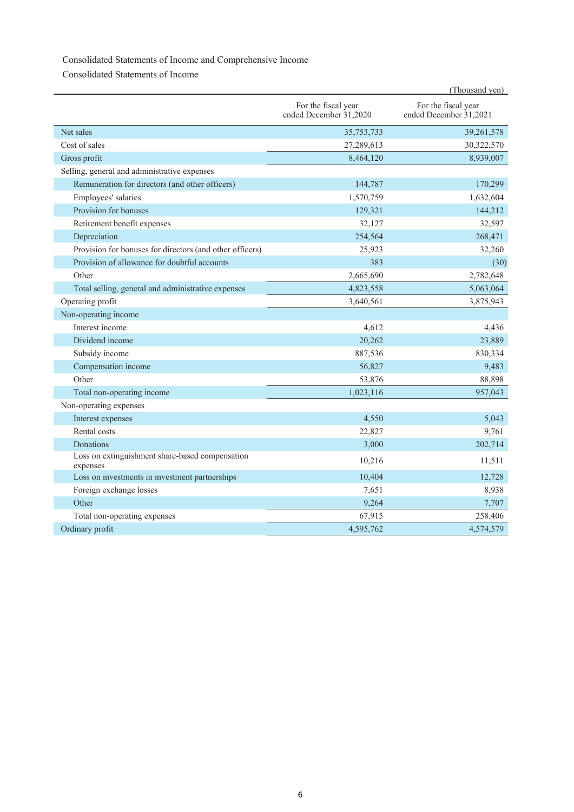### Consolidated Statements of Income and Comprehensive Income

Consolidated Statements of Income

|                                                             |                                               | (Thousand yen)                                |
|-------------------------------------------------------------|-----------------------------------------------|-----------------------------------------------|
|                                                             | For the fiscal year<br>ended December 31,2020 | For the fiscal year<br>ended December 31,2021 |
| Net sales                                                   | 35,753,733                                    | 39,261,578                                    |
| Cost of sales                                               | 27,289,613                                    | 30,322,570                                    |
| Gross profit                                                | 8,464,120                                     | 8,939,007                                     |
| Selling, general and administrative expenses                |                                               |                                               |
| Remuneration for directors (and other officers)             | 144,787                                       | 170,299                                       |
| Employees' salaries                                         | 1,570,759                                     | 1,632,604                                     |
| Provision for bonuses                                       | 129,321                                       | 144,212                                       |
| Retirement benefit expenses                                 | 32,127                                        | 32,597                                        |
| Depreciation                                                | 254,564                                       | 268,471                                       |
| Provision for bonuses for directors (and other officers)    | 25,923                                        | 32,260                                        |
| Provision of allowance for doubtful accounts                | 383                                           | (30)                                          |
| Other                                                       | 2,665,690                                     | 2,782,648                                     |
| Total selling, general and administrative expenses          | 4,823,558                                     | 5,063,064                                     |
| Operating profit                                            | 3,640,561                                     | 3,875,943                                     |
| Non-operating income                                        |                                               |                                               |
| Interest income                                             | 4,612                                         | 4,436                                         |
| Dividend income                                             | 20,262                                        | 23,889                                        |
| Subsidy income                                              | 887,536                                       | 830,334                                       |
| Compensation income                                         | 56,827                                        | 9,483                                         |
| Other                                                       | 53,876                                        | 88,898                                        |
| Total non-operating income                                  | 1,023,116                                     | 957,043                                       |
| Non-operating expenses                                      |                                               |                                               |
| Interest expenses                                           | 4,550                                         | 5.043                                         |
| Rental costs                                                | 22,827                                        | 9,761                                         |
| Donations                                                   | 3,000                                         | 202,714                                       |
| Loss on extinguishment share-based compensation<br>expenses | 10,216                                        | 11,511                                        |
| Loss on investments in investment partnerships              | 10,404                                        | 12,728                                        |
| Foreign exchange losses                                     | 7,651                                         | 8,938                                         |
| Other                                                       | 9,264                                         | 7,707                                         |
| Total non-operating expenses                                | 67,915                                        | 258,406                                       |
| Ordinary profit                                             | 4.595.762                                     | 4,574,579                                     |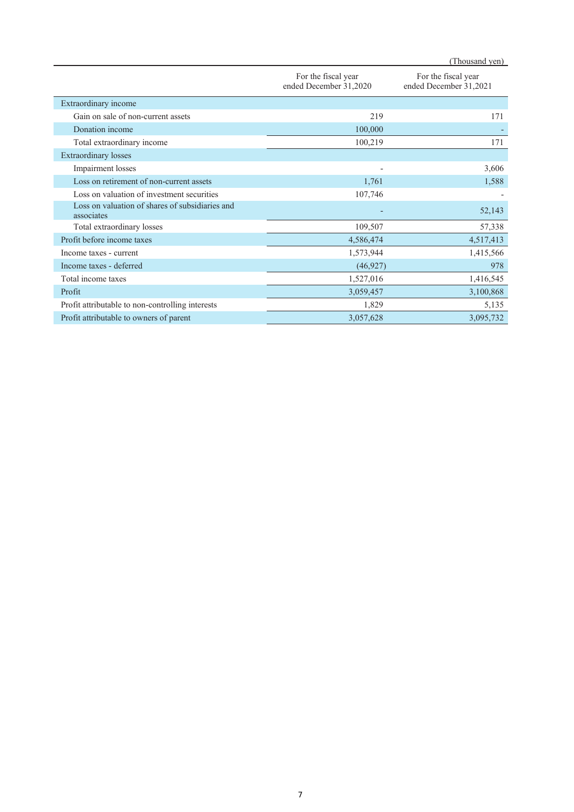|                                                               | For the fiscal year<br>ended December 31,2020 | For the fiscal year<br>ended December 31,2021 |
|---------------------------------------------------------------|-----------------------------------------------|-----------------------------------------------|
| Extraordinary income                                          |                                               |                                               |
| Gain on sale of non-current assets                            | 219                                           | 171                                           |
| Donation income                                               | 100,000                                       |                                               |
| Total extraordinary income                                    | 100,219                                       | 171                                           |
| <b>Extraordinary losses</b>                                   |                                               |                                               |
| Impairment losses                                             |                                               | 3,606                                         |
| Loss on retirement of non-current assets                      | 1,761                                         | 1,588                                         |
| Loss on valuation of investment securities                    | 107,746                                       |                                               |
| Loss on valuation of shares of subsidiaries and<br>associates |                                               | 52,143                                        |
| Total extraordinary losses                                    | 109,507                                       | 57,338                                        |
| Profit before income taxes                                    | 4,586,474                                     | 4,517,413                                     |
| Income taxes - current                                        | 1,573,944                                     | 1,415,566                                     |
| Income taxes - deferred                                       | (46, 927)                                     | 978                                           |
| Total income taxes                                            | 1,527,016                                     | 1,416,545                                     |
| Profit                                                        | 3,059,457                                     | 3,100,868                                     |
| Profit attributable to non-controlling interests              | 1,829                                         | 5,135                                         |
| Profit attributable to owners of parent                       | 3,057,628                                     | 3,095,732                                     |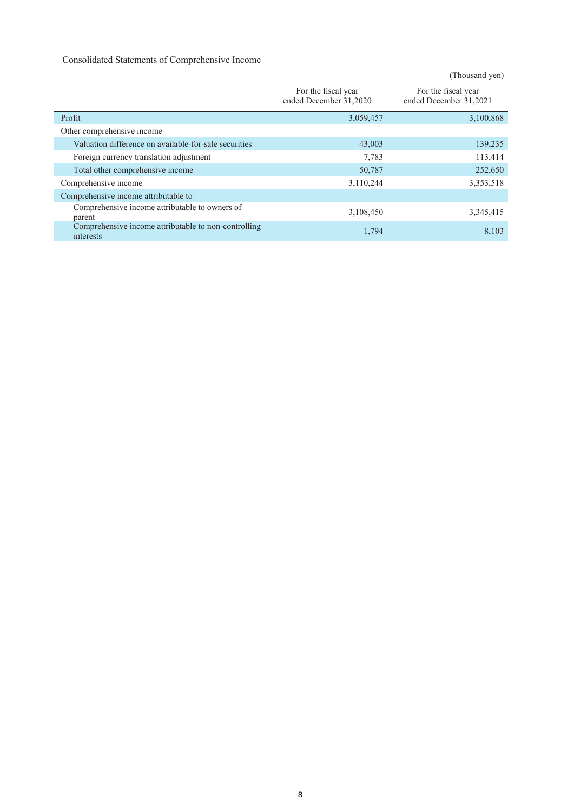### Consolidated Statements of Comprehensive Income

|                                                                   |                                               | (Thousand yen)                                |
|-------------------------------------------------------------------|-----------------------------------------------|-----------------------------------------------|
|                                                                   | For the fiscal year<br>ended December 31,2020 | For the fiscal year<br>ended December 31,2021 |
| Profit                                                            | 3,059,457                                     | 3,100,868                                     |
| Other comprehensive income                                        |                                               |                                               |
| Valuation difference on available-for-sale securities             | 43,003                                        | 139,235                                       |
| Foreign currency translation adjustment                           | 7,783                                         | 113,414                                       |
| Total other comprehensive income                                  | 50,787                                        | 252,650                                       |
| Comprehensive income                                              | 3,110,244                                     | 3,353,518                                     |
| Comprehensive income attributable to                              |                                               |                                               |
| Comprehensive income attributable to owners of<br>parent          | 3,108,450                                     | 3,345,415                                     |
| Comprehensive income attributable to non-controlling<br>interests | 1,794                                         | 8,103                                         |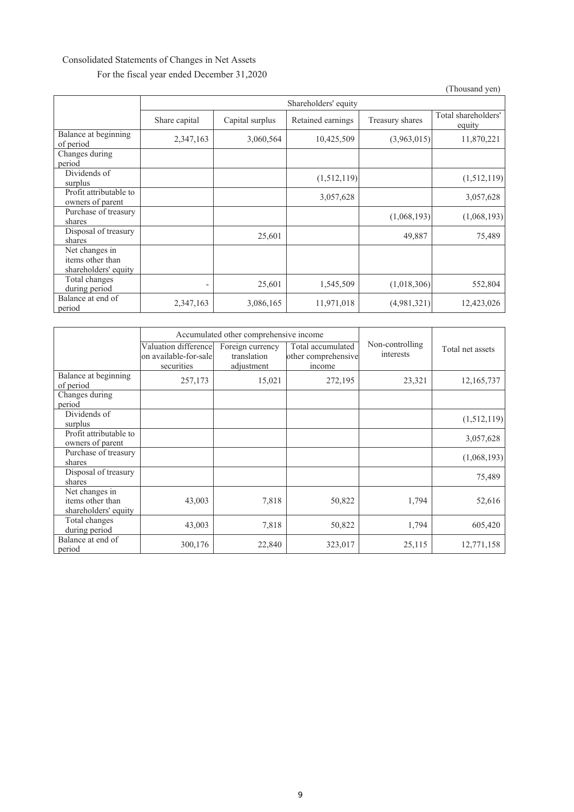### Consolidated Statements of Changes in Net Assets For the fiscal year ended December 31,2020

|                                                            | Shareholders' equity |                 |                   |                 |                               |
|------------------------------------------------------------|----------------------|-----------------|-------------------|-----------------|-------------------------------|
|                                                            | Share capital        | Capital surplus | Retained earnings | Treasury shares | Total shareholders'<br>equity |
| Balance at beginning<br>of period                          | 2,347,163            | 3,060,564       | 10,425,509        | (3,963,015)     | 11,870,221                    |
| Changes during<br>period                                   |                      |                 |                   |                 |                               |
| Dividends of<br>surplus                                    |                      |                 | (1,512,119)       |                 | (1,512,119)                   |
| Profit attributable to<br>owners of parent                 |                      |                 | 3,057,628         |                 | 3,057,628                     |
| Purchase of treasury<br>shares                             |                      |                 |                   | (1,068,193)     | (1,068,193)                   |
| Disposal of treasury<br>shares                             |                      | 25,601          |                   | 49,887          | 75,489                        |
| Net changes in<br>items other than<br>shareholders' equity |                      |                 |                   |                 |                               |
| Total changes<br>during period                             |                      | 25,601          | 1,545,509         | (1,018,306)     | 552,804                       |
| Balance at end of<br>period                                | 2,347,163            | 3,086,165       | 11,971,018        | (4,981,321)     | 12,423,026                    |

|                                                            | Accumulated other comprehensive income                        |                                               |                                                    |                              |                  |
|------------------------------------------------------------|---------------------------------------------------------------|-----------------------------------------------|----------------------------------------------------|------------------------------|------------------|
|                                                            | Valuation differencel<br>lon available-for-sale<br>securities | Foreign currency<br>translation<br>adjustment | Total accumulated<br>other comprehensive<br>income | Non-controlling<br>interests | Total net assets |
| Balance at beginning<br>of period                          | 257,173                                                       | 15,021                                        | 272,195                                            | 23,321                       | 12,165,737       |
| Changes during<br>period                                   |                                                               |                                               |                                                    |                              |                  |
| Dividends of<br>surplus                                    |                                                               |                                               |                                                    |                              | (1,512,119)      |
| Profit attributable to<br>owners of parent                 |                                                               |                                               |                                                    |                              | 3,057,628        |
| Purchase of treasury<br>shares                             |                                                               |                                               |                                                    |                              | (1,068,193)      |
| Disposal of treasury<br>shares                             |                                                               |                                               |                                                    |                              | 75,489           |
| Net changes in<br>items other than<br>shareholders' equity | 43,003                                                        | 7,818                                         | 50,822                                             | 1,794                        | 52,616           |
| Total changes<br>during period                             | 43,003                                                        | 7,818                                         | 50,822                                             | 1,794                        | 605,420          |
| Balance at end of<br>period                                | 300,176                                                       | 22,840                                        | 323,017                                            | 25,115                       | 12,771,158       |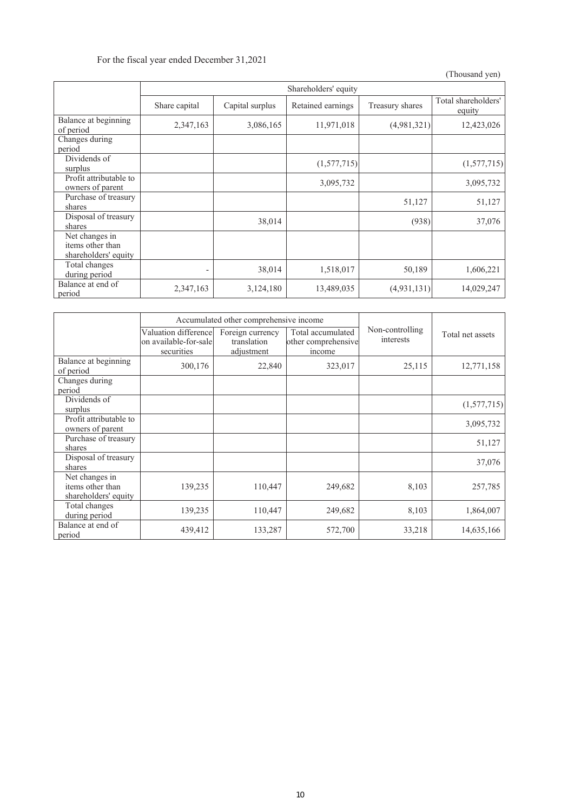For the fiscal year ended December 31,2021

|                                                            | Shareholders' equity |                 |                   |                 |                               |
|------------------------------------------------------------|----------------------|-----------------|-------------------|-----------------|-------------------------------|
|                                                            | Share capital        | Capital surplus | Retained earnings | Treasury shares | Total shareholders'<br>equity |
| Balance at beginning<br>of period                          | 2,347,163            | 3,086,165       | 11,971,018        | (4,981,321)     | 12,423,026                    |
| Changes during<br>period                                   |                      |                 |                   |                 |                               |
| Dividends of<br>surplus                                    |                      |                 | (1,577,715)       |                 | (1,577,715)                   |
| Profit attributable to<br>owners of parent                 |                      |                 | 3,095,732         |                 | 3,095,732                     |
| Purchase of treasury<br>shares                             |                      |                 |                   | 51,127          | 51,127                        |
| Disposal of treasury<br>shares                             |                      | 38,014          |                   | (938)           | 37,076                        |
| Net changes in<br>items other than<br>shareholders' equity |                      |                 |                   |                 |                               |
| Total changes<br>during period                             | -                    | 38,014          | 1,518,017         | 50,189          | 1,606,221                     |
| Balance at end of<br>period                                | 2,347,163            | 3,124,180       | 13,489,035        | (4,931,131)     | 14,029,247                    |

|                                                            | Accumulated other comprehensive income                       |                                               |                                                    |                              |                  |
|------------------------------------------------------------|--------------------------------------------------------------|-----------------------------------------------|----------------------------------------------------|------------------------------|------------------|
|                                                            | Valuation differencel<br>on available-for-sale<br>securities | Foreign currency<br>translation<br>adjustment | Total accumulated<br>other comprehensive<br>income | Non-controlling<br>interests | Total net assets |
| Balance at beginning<br>of period                          | 300,176                                                      | 22,840                                        | 323,017                                            | 25,115                       | 12,771,158       |
| Changes during<br>period                                   |                                                              |                                               |                                                    |                              |                  |
| Dividends of<br>surplus                                    |                                                              |                                               |                                                    |                              | (1,577,715)      |
| Profit attributable to<br>owners of parent                 |                                                              |                                               |                                                    |                              | 3,095,732        |
| Purchase of treasury<br>shares                             |                                                              |                                               |                                                    |                              | 51,127           |
| Disposal of treasury<br>shares                             |                                                              |                                               |                                                    |                              | 37,076           |
| Net changes in<br>items other than<br>shareholders' equity | 139,235                                                      | 110,447                                       | 249,682                                            | 8,103                        | 257,785          |
| Total changes<br>during period                             | 139,235                                                      | 110,447                                       | 249,682                                            | 8,103                        | 1,864,007        |
| Balance at end of<br>period                                | 439,412                                                      | 133,287                                       | 572,700                                            | 33,218                       | 14,635,166       |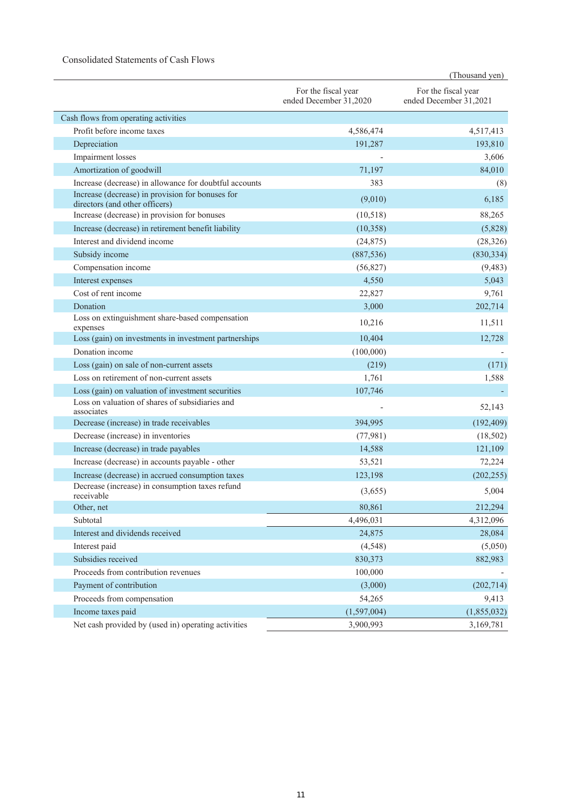### Consolidated Statements of Cash Flows

|                                                                                    |                                               | (Thousand yen)                                |
|------------------------------------------------------------------------------------|-----------------------------------------------|-----------------------------------------------|
|                                                                                    | For the fiscal year<br>ended December 31,2020 | For the fiscal year<br>ended December 31,2021 |
| Cash flows from operating activities                                               |                                               |                                               |
| Profit before income taxes                                                         | 4,586,474                                     | 4,517,413                                     |
| Depreciation                                                                       | 191,287                                       | 193,810                                       |
| <b>Impairment</b> losses                                                           |                                               | 3,606                                         |
| Amortization of goodwill                                                           | 71,197                                        | 84,010                                        |
| Increase (decrease) in allowance for doubtful accounts                             | 383                                           | (8)                                           |
| Increase (decrease) in provision for bonuses for<br>directors (and other officers) | (9,010)                                       | 6,185                                         |
| Increase (decrease) in provision for bonuses                                       | (10,518)                                      | 88,265                                        |
| Increase (decrease) in retirement benefit liability                                | (10, 358)                                     | (5,828)                                       |
| Interest and dividend income                                                       | (24, 875)                                     | (28, 326)                                     |
| Subsidy income                                                                     | (887, 536)                                    | (830, 334)                                    |
| Compensation income                                                                | (56,827)                                      | (9, 483)                                      |
| Interest expenses                                                                  | 4,550                                         | 5,043                                         |
| Cost of rent income                                                                | 22,827                                        | 9,761                                         |
| Donation                                                                           | 3,000                                         | 202,714                                       |
| Loss on extinguishment share-based compensation<br>expenses                        | 10,216                                        | 11,511                                        |
| Loss (gain) on investments in investment partnerships                              | 10,404                                        | 12,728                                        |
| Donation income                                                                    | (100,000)                                     |                                               |
| Loss (gain) on sale of non-current assets                                          | (219)                                         | (171)                                         |
| Loss on retirement of non-current assets                                           | 1,761                                         | 1,588                                         |
| Loss (gain) on valuation of investment securities                                  | 107,746                                       |                                               |
| Loss on valuation of shares of subsidiaries and<br>associates                      |                                               | 52,143                                        |
| Decrease (increase) in trade receivables                                           | 394,995                                       | (192, 409)                                    |
| Decrease (increase) in inventories                                                 | (77, 981)                                     | (18,502)                                      |
| Increase (decrease) in trade payables                                              | 14,588                                        | 121,109                                       |
| Increase (decrease) in accounts payable - other                                    | 53,521                                        | 72,224                                        |
| Increase (decrease) in accrued consumption taxes                                   | 123,198                                       | (202, 255)                                    |
| Decrease (increase) in consumption taxes refund<br>receivable                      | (3,655)                                       | 5,004                                         |
| Other, net                                                                         | 80,861                                        | 212,294                                       |
| Subtotal                                                                           | 4,496,031                                     | 4,312,096                                     |
| Interest and dividends received                                                    | 24,875                                        | 28,084                                        |
| Interest paid                                                                      | (4, 548)                                      | (5,050)                                       |
| Subsidies received                                                                 | 830,373                                       | 882,983                                       |
| Proceeds from contribution revenues                                                | 100,000                                       |                                               |
| Payment of contribution                                                            | (3,000)                                       | (202, 714)                                    |
| Proceeds from compensation                                                         | 54,265                                        | 9,413                                         |
| Income taxes paid                                                                  | (1,597,004)                                   | (1,855,032)                                   |
| Net cash provided by (used in) operating activities                                | 3,900,993                                     | 3,169,781                                     |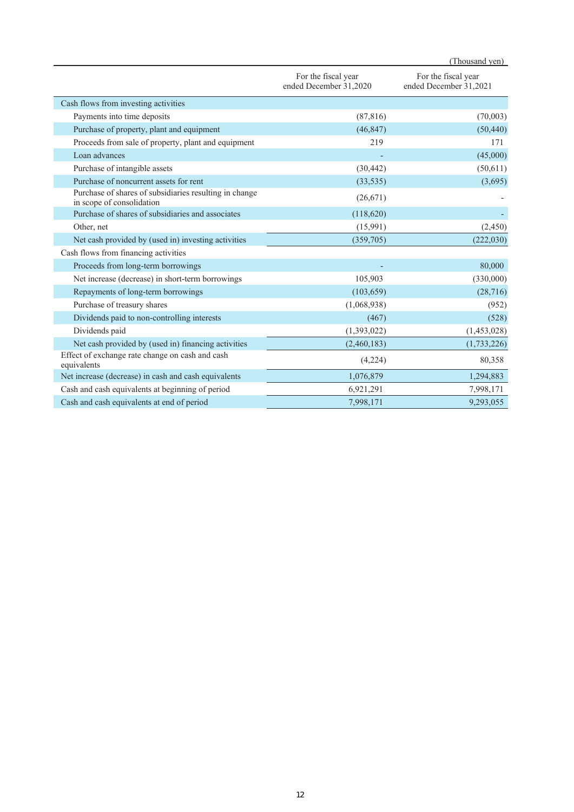|                                                                                     |                                               | (Thousand yen)                                |
|-------------------------------------------------------------------------------------|-----------------------------------------------|-----------------------------------------------|
|                                                                                     | For the fiscal year<br>ended December 31,2020 | For the fiscal year<br>ended December 31,2021 |
| Cash flows from investing activities                                                |                                               |                                               |
| Payments into time deposits                                                         | (87, 816)                                     | (70,003)                                      |
| Purchase of property, plant and equipment                                           | (46, 847)                                     | (50, 440)                                     |
| Proceeds from sale of property, plant and equipment                                 | 219                                           | 171                                           |
| Loan advances                                                                       |                                               | (45,000)                                      |
| Purchase of intangible assets                                                       | (30, 442)                                     | (50,611)                                      |
| Purchase of noncurrent assets for rent                                              | (33, 535)                                     | (3,695)                                       |
| Purchase of shares of subsidiaries resulting in change<br>in scope of consolidation | (26,671)                                      |                                               |
| Purchase of shares of subsidiaries and associates                                   | (118,620)                                     |                                               |
| Other, net                                                                          | (15,991)                                      | (2, 450)                                      |
| Net cash provided by (used in) investing activities                                 | (359,705)                                     | (222,030)                                     |
| Cash flows from financing activities                                                |                                               |                                               |
| Proceeds from long-term borrowings                                                  |                                               | 80,000                                        |
| Net increase (decrease) in short-term borrowings                                    | 105,903                                       | (330,000)                                     |
| Repayments of long-term borrowings                                                  | (103, 659)                                    | (28, 716)                                     |
| Purchase of treasury shares                                                         | (1,068,938)                                   | (952)                                         |
| Dividends paid to non-controlling interests                                         | (467)                                         | (528)                                         |
| Dividends paid                                                                      | (1,393,022)                                   | (1,453,028)                                   |
| Net cash provided by (used in) financing activities                                 | (2,460,183)                                   | (1,733,226)                                   |
| Effect of exchange rate change on cash and cash<br>equivalents                      | (4,224)                                       | 80,358                                        |
| Net increase (decrease) in cash and cash equivalents                                | 1,076,879                                     | 1,294,883                                     |
| Cash and cash equivalents at beginning of period                                    | 6,921,291                                     | 7,998,171                                     |
| Cash and cash equivalents at end of period                                          | 7,998,171                                     | 9,293,055                                     |